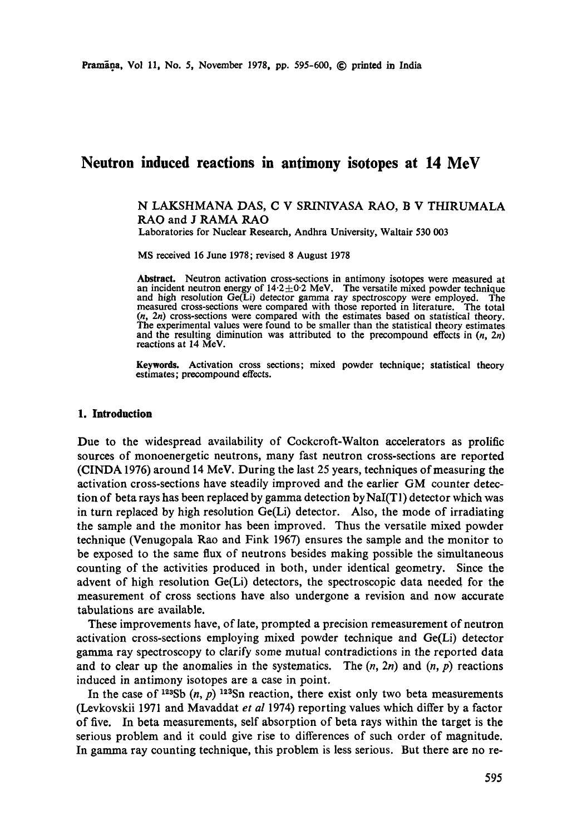# **Neutron induced reactions in antimony isotopes at 14 MeV**

N LAKSHMANA DAS, C V SRINIVASA RAO, B V THIRUMALA RAO and J RAMA RAO

Laboratories for Nuclear Research, Andhra University, Waltair 530 003

MS received 16 June 1978; revised 8 August 1978

**Abstract.** Neutron activation cross-sections in antimony isotopes were measured at an incident neutron energy of  $14.2 \pm 0.2$  MeV. The versatile mixed powder technique and high resolution Ge(Li) detector gamma ray spectroscopy were employed. The measured cross-sections were compared with those reported in literature. The total (n, 2n) cross-sections were compared with the estimates based on statistical theory. The experimental values were found to be smaller than the statistical theory estimates and the resulting diminution was attributed to the precompound effects in  $(n, 2n)$ reactions at 14 MeV.

Keywords. Activation cross sections; mixed powder technique; statistical theory estimates; precompound effects.

#### **1. Introduction**

Due to the widespread availability of Cockcroft-Walton accelerators as prolific sources of monoenergetic neutrons, many fast neutron cross-sections are reported (ClNDA 1976) around 14 MeV. During the last 25 years, techniques of measuring the activation cross-sections have steadily improved and the earlier GM counter detection of beta rays has been replaced by gamma detection byNaI(T1) detector which was in turn replaced by high resolution  $Ge(L)$  detector. Also, the mode of irradiating the sample and the monitor has been improved. Thus the versatile mixed powder technique (Venugopala Rao and Fink 1967) ensures the sample and the monitor to be exposed to the same flux of neutrons besides making possible the simultaneous counting of the activities produced in both, under identical geometry. Since the advent of high resolution Ge(Li) detectors, the spectroscopic data needed for the measurement of cross sections have also undergone a revision and now accurate tabulations are available.

These improvements have, of late, prompted a precision remeasurement of neutron activation cross-sections employing mixed powder technique and Ge(Li) detector gamma ray spectroscopy to clarify some mutual contradictions in the reported data and to clear up the anomalies in the systematics. The  $(n, 2n)$  and  $(n, p)$  reactions induced in antimony isotopes are a case in point.

In the case of <sup>123</sup>Sb  $(n, p)$  <sup>123</sup>Sn reaction, there exist only two beta measurements (Levkovskii 1971 and Mavaddat *et al* 1974) reporting values which differ by a factor of five. In beta measurements, self absorption of beta rays within the target is the serious problem and it could give rise to differences of such order of magnitude. In gamma ray counting technique, this problem is less serious. But there are no re-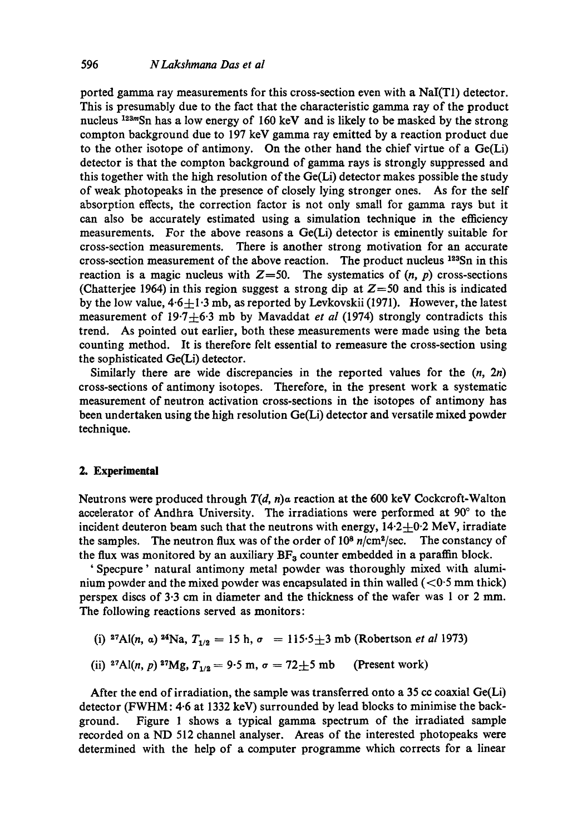ported gamma ray measurements for this cross-section even with a NaI(T1) detector. This is presumably due to the fact that the characteristic gamma ray of the product nucleus  $123mSn$  has a low energy of 160 keV and is likely to be masked by the strong compton background due to 197 keV gamma ray emitted by a reaction product due to the other isotope of antimony. On the other hand the chief virtue of a  $Ge(Li)$ detector is that the eompton background of gamma rays is strongly suppressed and this together with the high resolution of the Ge(Li) detector makes possible the study of weak photopeaks in the presence of closely lying stronger ones. As for the self absorption effects, the correction factor is not only small for gamma rays but it can also be accurately estimated using a simulation technique in the efficiency measurements. For the above reasons a Ge(Li) detector is eminently suitable for cross-section measurements. There is another strong motivation for an accurate cross-section measurement of the above reaction. The product nucleus  $123Sn$  in this reaction is a magic nucleus with  $Z=50$ . The systematics of  $(n, p)$  cross-sections (Chatterjee 1964) in this region suggest a strong dip at  $Z=50$  and this is indicated by the low value,  $4.6 + 1.3$  mb, as reported by Levkovskii (1971). However, the latest measurement of 19.7-4-6.3 mb by Mavaddat *et al* (1974) strongly contradicts this trend. As pointed out earlier, both these measurements were made using the beta counting method. It is therefore felt essential to remeasure the cross-section using the sophisticated Ge(Li) detector.

Similarly there are wide discrepancies in the reported values for the *(n, 2n)*  cross-sections of antimony isotopes. Therefore, in the present work a systematic measurement of neutron activation cross-sections in the isotopes of antimony has been undertaken using the high resolution Ge(Li) detector and versatile mixed powder technique.

## **2. Experimental**

Neutrons were produced through *T(d, n)a* reaction at the 600 keV Cockcroft-Walton accelerator of Andhra University. The irradiations were performed at 90° to the incident deuteron beam such that the neutrons with energy,  $14.2 \pm 0.2$  MeV, irradiate the samples. The neutron flux was of the order of  $10^8$   $n/cm^2/sec$ . The constancy of the flux was monitored by an auxiliary  $BF_3$  counter embedded in a paraffin block.

' Specpure' natural antimony metal powder was thoroughly mixed with aluminium powder and the mixed powder was encapsulated in thin walled  $(<0.5$  mm thick) perspex discs of 3"3 cm in diameter and the thickness of the wafer was 1 or 2 mm. The following reactions served as monitors:

(i) <sup>27</sup>Al(n, a) <sup>24</sup>Na,  $T_{1/2} = 15$  h,  $\sigma = 115.5 \pm 3$  mb (Robertson *et al* 1973)

(ii) <sup>27</sup>Al(n, p) <sup>27</sup>Mg, 
$$
T_{1/2} = 9.5
$$
 m,  $\sigma = 72 \pm 5$  mb (Present work)

After the end of irradiation, the sample was transferred onto a 35 cc coaxial  $Ge(Li)$ detector (FWHM: 4.6 at 1332 keV) surrounded by lead blocks to minimise the background. Figure 1 shows a typical gamma spectrum of the irradiated sample recorded on a ND 512 channel analyser. Areas of the interested photopeaks were determined with the help of a computer programme which corrects for a linear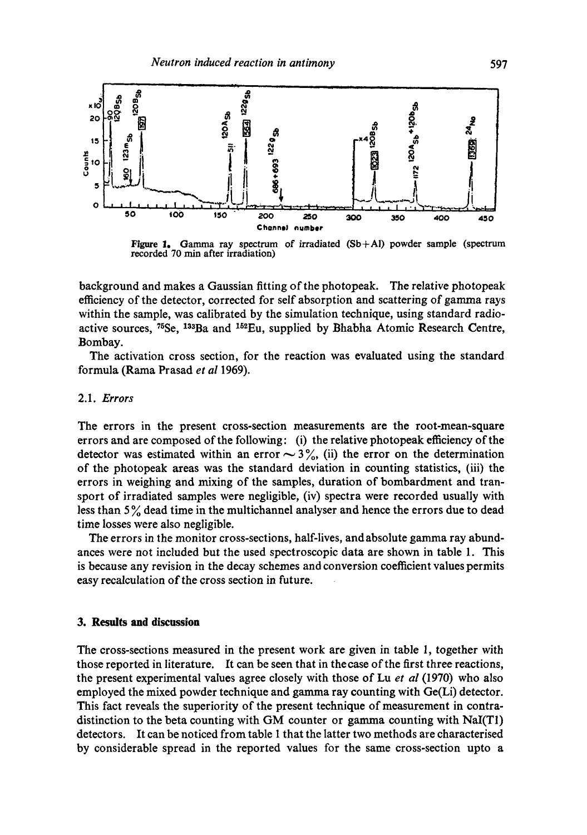

Figure 1. Gamma ray spectrum of irradiated  $(Sb+Al)$  powder sample (spectrum recorded 70 min after irradiation)

background and makes a Gaussian fitting of the photopeak. The relative photopeak efficiency of the detector, corrected for self absorption and scattering of gamma rays within the sample, was calibrated by the simulation technique, using standard radioactive sources,  $^{75}$ Se,  $^{133}$ Ba and  $^{152}$ Eu, supplied by Bhabha Atomic Research Centre, Bombay.

The activation cross section, for the reaction was evaluated using the standard formula (Rama Prasad *et al* 1969).

## 2.1. *Errors*

The errors in the present cross-section measurements are the root-mean-square errors and are composed of the following: (i) the relative photopeak efficiency of the detector was estimated within an error  $\sim$  3%, (ii) the error on the determination of the photopeak areas was the standard deviation in counting statistics, (iii) the errors in weighing and mixing of the samples, duration of bombardment and transport of irradiated samples were negligible, (iv) spectra were recorded usually with less than  $5\%$  dead time in the multichannel analyser and hence the errors due to dead time losses were also negligible.

The errors in the monitor cross-sections, half-lives, and absolute gamma ray abundances were not included but the used spectroscopic data are shown in table 1. This is because any revision in the decay schemes and conversion coefficient values permits easy recalculation of the cross section in future.

### **3. Results and discussion**

The cross-sections measured in the present work are given in table 1, together with those reported in literature. It can be seen that in thecase of the first three reactions, the present experimental values agree closely with those of Lu *et al* (1970) who also employed the mixed powder technique and gamma ray counting with Ge(Li) detector. This fact reveals the superiority of the present technique of measurement in contradistinction to the beta counting with GM counter or gamma counting with NaI(T1) detectors. It can be noticed from table 1 that the latter two methods are characterised by considerable spread in the reported values for the same cross-section upto a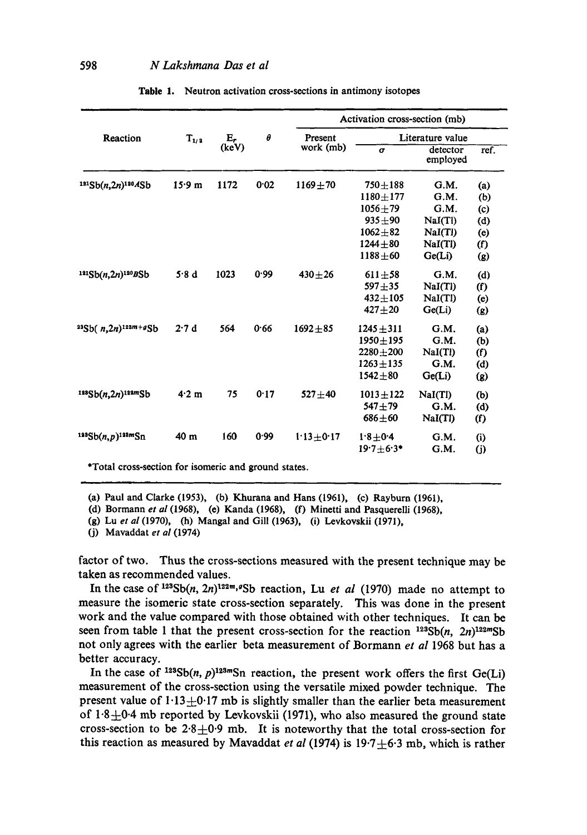| Reaction                              | $T_{1/2}$ | $E_r$<br>(keV) | $\theta$ | Activation cross-section (mb) |                  |                      |                            |
|---------------------------------------|-----------|----------------|----------|-------------------------------|------------------|----------------------|----------------------------|
|                                       |           |                |          | Present<br>work (mb)          | Literature value |                      |                            |
|                                       |           |                |          |                               | $\sigma$         | detector<br>employed | ref.                       |
| $121Sb(n,2n)$ <sup>120</sup> ASb      | 15.9 m    | 1172           | 0.02     | $1169 + 70$                   | $750 + 188$      | G.M.                 | (a)                        |
|                                       |           |                |          |                               | $1180 + 177$     | G.M.                 | (b)                        |
|                                       |           |                |          |                               | $1056 + 79$      | G.M.                 | (c)                        |
|                                       |           |                |          |                               | $935 + 90$       | NaI(T)               | (d)                        |
|                                       |           |                |          |                               | $1062 + 82$      | NaI(TI)              | (e)                        |
|                                       |           |                |          |                               | $1244 + 80$      | NaI(TI)              | $\left( \mathrm{f}\right)$ |
|                                       |           |                |          |                               | $1188 + 60$      | Ge(Li)               | (g)                        |
| $121Sb(n,2n)$ <sup>120</sup> BSb      | 5.8d      | 1023           | 0.99     | $430 + 26$                    | $611 + 58$       | G.M.                 | (d)                        |
|                                       |           |                |          |                               | $597 + 35$       | NaI(Tl)              | (f)                        |
|                                       |           |                |          |                               | $432 + 105$      | NaI(Tl)              | (e)                        |
|                                       |           |                |          |                               | $427 + 20$       | Ge(L)                | (g)                        |
| $^{23}Sb( n,2n)$ <sup>122m+g</sup> Sb | 2.7d      | 564            | 0.66     | $1692 + 85$                   | $1245 \pm 311$   | G.M.                 | (a)                        |
|                                       |           |                |          |                               | $1950 + 195$     | G.M.                 | (b)                        |
|                                       |           |                |          |                               | $2280 + 200$     | NaI(Tl)              | (f)                        |
|                                       |           |                |          |                               | $1263 + 135$     | G.M.                 | (d)                        |
|                                       |           |                |          |                               | $1542 + 80$      | Ge(L)                | $\left( g\right)$          |
| $1235b(n,2n)$ <sup>122m</sup> Sb      | 4.2 m     | 75             | 0.17     | $527 + 40$                    | $1013 + 122$     | NaI(Tl)              | (b)                        |
|                                       |           |                |          |                               | $547 + 79$       | G.M.                 | (d)                        |
|                                       |           |                |          |                               | $686 + 60$       | NaI(TI)              | (f)                        |
| $123Sb(n,p)$ <sup>123m</sup> Sn       | 40 m      | 160            | 0.99     | $1.13 + 0.17$                 | $1.8 + 0.4$      | G.M.                 | (i)                        |
|                                       |           |                |          |                               | $19.7 + 6.3*$    | G.M.                 | (j)                        |

Table 1. Neutron activation cross-sections in antimony isotopes

\*Total cross-section for isomeric and ground states.

(a) Paul and Clarke (1953), (b) Khurana and Hans (1961), (e) Rayburn (1961),

(d) Bormann *et al* (1968), (e) Kanda (1968), (f) Minetti and Pasquerelli (1968),

(j) Mavaddat *et al* (1974)

factor of two. Thus the cross-sections measured with the present technique may be taken as recommended values.

In the case of  $123Sb(n, 2n)$ <sup>122m,g</sup>Sb reaction, Lu *et al* (1970) made no attempt to measure the isomeric state cross-section separately. This was done in the present work and the value compared with those obtained with other techniques. It can be seen from table 1 that the present cross-section for the reaction  $^{123}Sb(n, 2n)^{122m}Sb$ not only agrees with the earlier beta measurement of Bormann *et al* 1968 but has a better accuracy.

In the case of  $128Sb(n, p)123mSn$  reaction, the present work offers the first Ge(Li) measurement of the cross-section using the versatile mixed powder technique. The present value of  $1.13 \pm 0.17$  mb is slightly smaller than the earlier beta measurement of  $1.8 \pm 0.4$  mb reported by Levkovskii (1971), who also measured the ground state cross-section to be  $2.8 \pm 0.9$  mb. It is noteworthy that the total cross-section for this reaction as measured by Mavaddat *et al* (1974) is  $19.7 \pm 6.3$  mb, which is rather

<sup>(</sup>g) Lu *et al* (1970), (h) Mangal and Gill (1963), (i) Levkovskii (1971),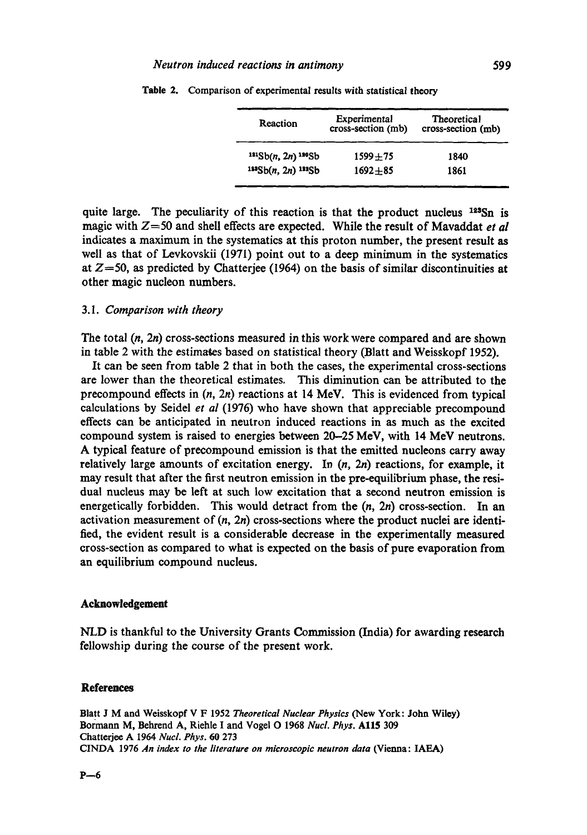| Reaction               | Experimental<br>cross-section (mb) | <b>Theoretical</b><br>cross-section (mb) |  |  |
|------------------------|------------------------------------|------------------------------------------|--|--|
| $121Sb(n, 2n)$ $120Sb$ | $1599 + 75$                        | 1840                                     |  |  |
| $143Sb(n, 2n)$ $132Sb$ | $1692 + 85$                        | 1861                                     |  |  |

**Table 2.**  Comparison of experimental results with statistical theory

quite large. The peculiarity of this reaction is that the product nucleus  $123\text{Sn}$  is magic with Z=50 and shell effects are expected. While the result of Mavaddat *et al*  indicates a maximum in the systematics at this proton number, the present result as well as that of Levkovskii (1971) point out to a deep minimum in the systematics at *Z=50, as* predicted by Chatterjee (1964) on the basis of similar discontinuities at other magic nucleon numbers.

## 3.1. *Comparison with theory*

The total (n, *2n)* cross-sections measured in this work were compared and are shown in table 2 with the estimates based on statistical theory (Blatt and Weisskopf 1952).

It can be seen from table 2 that in both the cases, the experimental cross-sections are lower than the theoretical estimates. This diminution can be attributed to the precompound effects in  $(n, 2n)$  reactions at 14 MeV. This is evidenced from typical calculations by Seidel *et al* (1976) who have shown that appreciable precompound effects can be anticipated in neutron induced reactions in as much as the excited compound system is raised to energies between 20-25 MeV, with 14 MeV neutrons. A typical feature of precompound emission is that the emitted nucleons carry away relatively large amounts of excitation energy. In  $(n, 2n)$  reactions, for example, it may result that after the first neutron emission in the pre-equilibrium phase, the residual nucleus may be left at such low excitation that a second neutron emission is energetically forbidden. This would detract from the  $(n, 2n)$  cross-section. In an activation measurement of  $(n, 2n)$  cross-sections where the product nuclei are identified, the evident result is a considerable decrease in the experimentally measured cross-section as compared to what is expected on the basis of pure evaporation from an equilibrium compound nucleus.

#### **Acknowledgement**

NLD is thankful to the University Grants Commission (India) for awarding research fellowship during the course of the present work.

#### **References**

Blatt J M and Weisskopf V F 1952 *Theoretical Nuclear Physics* (New York: John Wiley) Bormann M, Behrend A, Riehle I and Vogel O 1968 *Nucl. Phys.* Al15 309 Chatterjee A 1964 *Nucl. Phys. 60* 273 CINDA 1976 *An index to the literature on microscopic neutron data* (Vienna: IAEA)